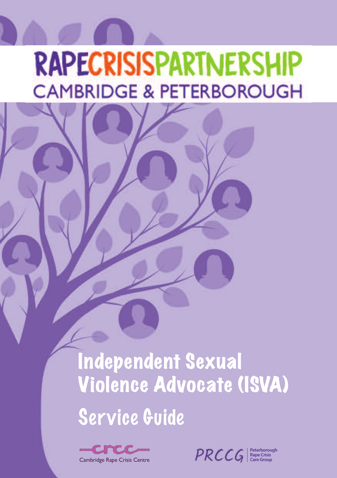# **RAPECRISISPARTNERSHIP CAMBRIDGE & PETERBOROUGH**

# Independent Sexual Violence Advocate (ISVA) Service Guide



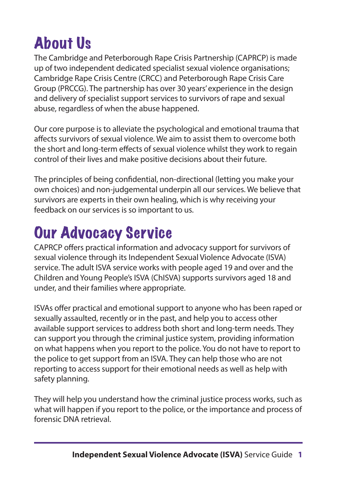# About Us

The Cambridge and Peterborough Rape Crisis Partnership (CAPRCP) is made up of two independent dedicated specialist sexual violence organisations; Cambridge Rape Crisis Centre (CRCC) and Peterborough Rape Crisis Care Group (PRCCG). The partnership has over 30 years'experience in the design and delivery of specialist support services to survivors of rape and sexual abuse, regardless of when the abuse happened.

Our core purpose is to alleviate the psychological and emotional trauma that affects survivors of sexual violence. We aim to assist them to overcome both the short and long-term effects of sexual violence whilst they work to regain control of their lives and make positive decisions about their future.

The principles of being confidential, non-directional (letting you make your own choices) and non-judgemental underpin all our services. We believe that survivors are experts in their own healing, which is why receiving your feedback on our services is so important to us.

# Our Advocacy Service

CAPRCP offers practical information and advocacy support for survivors of sexual violence through its Independent Sexual Violence Advocate (ISVA) service. The adult ISVA service works with people aged 19 and over and the Children and Young People's ISVA (ChISVA) supports survivors aged 18 and under, and their families where appropriate.

ISVAs offer practical and emotional support to anyone who has been raped or sexually assaulted, recently or in the past, and help you to access other available support services to address both short and long-term needs. They can support you through the criminal justice system, providing information on what happens when you report to the police. You do not have to report to the police to get support from an ISVA. They can help those who are not reporting to access support for their emotional needs as well as help with safety planning.

They will help you understand how the criminal justice process works, such as what will happen if you report to the police, or the importance and process of forensic DNA retrieval.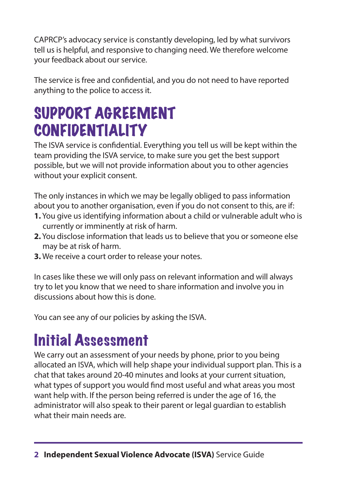CAPRCP's advocacy service is constantly developing, led by what survivors tell us is helpful, and responsive to changing need. We therefore welcome your feedback about our service.

The service is free and confidential, and you do not need to have reported anything to the police to access it.

### SUPPORT AGREEMENT CONFIDENTIALITY

The ISVA service is confidential. Everything you tell us will be kept within the team providing the ISVA service, to make sure you get the best support possible, but we will not provide information about you to other agencies without your explicit consent.

The only instances in which we may be legally obliged to pass information about you to another organisation, even if you do not consent to this, are if:

- **1.** You give us identifying information about a child or vulnerable adult who is currently or imminently at risk of harm.
- **2.** You disclose information that leads us to believe that you or someone else may be at risk of harm.
- **3.** We receive a court order to release your notes.

In cases like these we will only pass on relevant information and will always try to let you know that we need to share information and involve you in discussions about how this is done.

You can see any of our policies by asking the ISVA.

### Initial Assessment

We carry out an assessment of your needs by phone, prior to you being allocated an ISVA, which will help shape your individual support plan. This is a chat that takes around 20-40 minutes and looks at your current situation, what types of support you would find most useful and what areas you most want help with. If the person being referred is under the age of 16, the administrator will also speak to their parent or legal guardian to establish what their main needs are.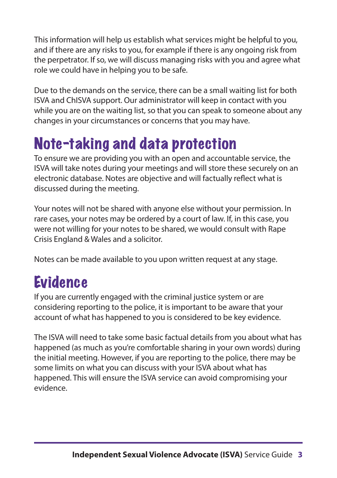This information will help us establish what services might be helpful to you, and if there are any risks to you, for example if there is any ongoing risk from the perpetrator. If so, we will discuss managing risks with you and agree what role we could have in helping you to be safe.

Due to the demands on the service, there can be a small waiting list for both ISVA and ChISVA support. Our administrator will keep in contact with you while you are on the waiting list, so that you can speak to someone about any changes in your circumstances or concerns that you may have.

### Note-taking and data protection

To ensure we are providing you with an open and accountable service, the ISVA will take notes during your meetings and will store these securely on an electronic database. Notes are objective and will factually reflect what is discussed during the meeting.

Your notes will not be shared with anyone else without your permission. In rare cases, your notes may be ordered by a court of law. If, in this case, you were not willing for your notes to be shared, we would consult with Rape Crisis England & Wales and a solicitor.

Notes can be made available to you upon written request at any stage.

### Evidence

If you are currently engaged with the criminal justice system or are considering reporting to the police, it is important to be aware that your account of what has happened to you is considered to be key evidence.

The ISVA will need to take some basic factual details from you about what has happened (as much as you're comfortable sharing in your own words) during the initial meeting. However, if you are reporting to the police, there may be some limits on what you can discuss with your ISVA about what has happened. This will ensure the ISVA service can avoid compromising your evidence.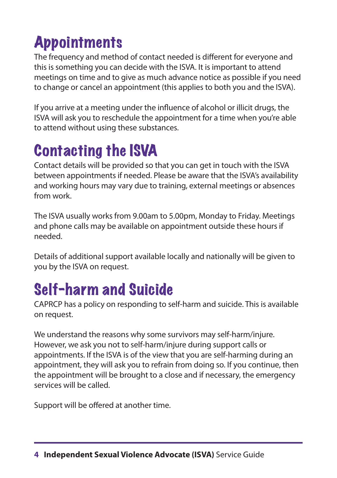# **Appointments**

The frequency and method of contact needed is different for everyone and this is something you can decide with the ISVA. It is important to attend meetings on time and to give as much advance notice as possible if you need to change or cancel an appointment (this applies to both you and the ISVA).

If you arrive at a meeting under the influence of alcohol or illicit drugs, the ISVA will ask you to reschedule the appointment for a time when you're able to attend without using these substances.

# Contacting the ISVA

Contact details will be provided so that you can get in touch with the ISVA between appointments if needed. Please be aware that the ISVA's availability and working hours may vary due to training, external meetings or absences from work.

The ISVA usually works from 9.00am to 5.00pm, Monday to Friday. Meetings and phone calls may be available on appointment outside these hours if needed.

Details of additional support available locally and nationally will be given to you by the ISVA on request.

### Self-harm and Suicide

CAPRCP has a policy on responding to self-harm and suicide. This is available on request.

We understand the reasons why some survivors may self-harm/injure. However, we ask you not to self-harm/injure during support calls or appointments. If the ISVA is of the view that you are self-harming during an appointment, they will ask you to refrain from doing so. If you continue, then the appointment will be brought to a close and if necessary, the emergency services will be called.

Support will be offered at another time.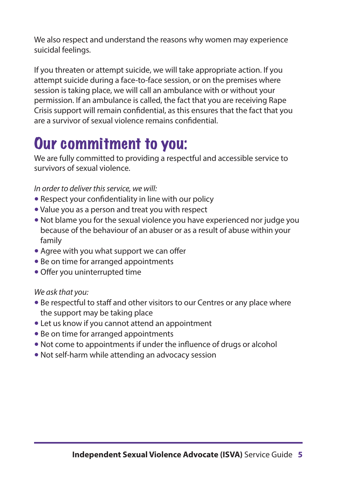We also respect and understand the reasons why women may experience suicidal feelings.

If you threaten or attempt suicide, we will take appropriate action. If you attempt suicide during a face-to-face session, or on the premises where session is taking place, we will call an ambulance with or without your permission. If an ambulance is called, the fact that you are receiving Rape Crisis support will remain confidential, as this ensures that the fact that you are a survivor of sexual violence remains confidential.

### Our commitment to you:

We are fully committed to providing a respectful and accessible service to survivors of sexual violence.

*In order to deliver this service, we will:* 

- Respect your confidentiality in line with our policy
- Value you as a person and treat you with respect
- Not blame you for the sexual violence you have experienced nor judge you because of the behaviour of an abuser or as a result of abuse within your family
- Agree with you what support we can offer
- Be on time for arranged appointments
- Offer you uninterrupted time

*We ask that you:*

- Be respectful to staff and other visitors to our Centres or any place where the support may be taking place
- Let us know if you cannot attend an appointment
- Be on time for arranged appointments
- Not come to appointments if under the influence of drugs or alcohol
- Not self-harm while attending an advocacy session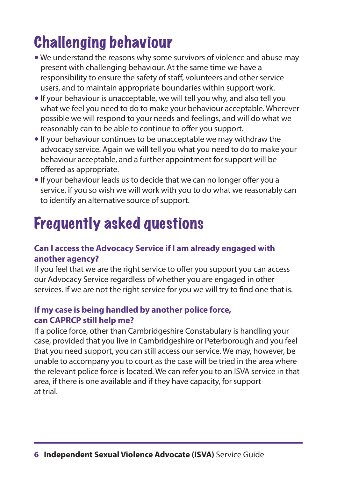# Challenging behaviour

- We understand the reasons why some survivors of violence and abuse may present with challenging behaviour. At the same time we have a responsibility to ensure the safety of staff, volunteers and other service users, and to maintain appropriate boundaries within support work.
- If your behaviour is unacceptable, we will tell you why, and also tell you what we feel you need to do to make your behaviour acceptable. Wherever possible we will respond to your needs and feelings, and will do what we reasonably can to be able to continue to offer you support.
- If your behaviour continues to be unacceptable we may withdraw the advocacy service. Again we will tell you what you need to do to make your behaviour acceptable, and a further appointment for support will be offered as appropriate.
- 5 If your behaviour leads us to decide that we can no longer offer you a service, if you so wish we will work with you to do what we reasonably can to identify an alternative source of support.

# Frequently asked questions

#### **Can I access the Advocacy Service if I am already engaged with another agency?**

If you feel that we are the right service to offer you support you can access our Advocacy Service regardless of whether you are engaged in other services. If we are not the right service for you we will try to find one that is.

#### **If my case is being handled by another police force, can CAPRCP still help me?**

If a police force, other than Cambridgeshire Constabulary is handling your case, provided that you live in Cambridgeshire or Peterborough and you feel that you need support, you can still access our service. We may, however, be unable to accompany you to court as the case will be tried in the area where the relevant police force is located. We can refer you to an ISVA service in that area, if there is one available and if they have capacity, for support at trial.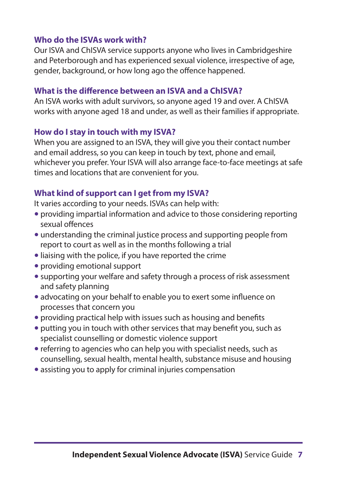#### **Who do the ISVAs work with?**

Our ISVA and ChISVA service supports anyone who lives in Cambridgeshire and Peterborough and has experienced sexual violence, irrespective of age, gender, background, or how long ago the offence happened.

#### **What is the difference between an ISVA and a ChISVA?**

An ISVA works with adult survivors, so anyone aged 19 and over. A ChISVA works with anyone aged 18 and under, as well as their families if appropriate.

#### **How do I stay in touch with my ISVA?**

When you are assigned to an ISVA, they will give you their contact number and email address, so you can keep in touch by text, phone and email, whichever you prefer. Your ISVA will also arrange face-to-face meetings at safe times and locations that are convenient for you.

#### **What kind of support can I get from my ISVA?**

It varies according to your needs. ISVAs can help with:

- providing impartial information and advice to those considering reporting sexual offences
- understanding the criminal justice process and supporting people from report to court as well as in the months following a trial
- liaising with the police, if you have reported the crime
- 5 providing emotional support
- supporting your welfare and safety through a process of risk assessment and safety planning
- advocating on your behalf to enable you to exert some influence on processes that concern you
- providing practical help with issues such as housing and benefits
- putting you in touch with other services that may benefit you, such as specialist counselling or domestic violence support
- referring to agencies who can help you with specialist needs, such as counselling, sexual health, mental health, substance misuse and housing
- assisting you to apply for criminal injuries compensation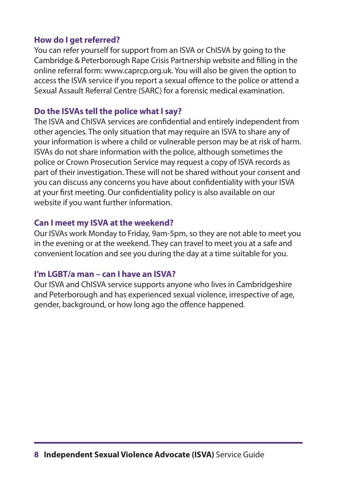#### **How do I get referred?**

You can refer yourself for support from an ISVA or ChISVA by going to the Cambridge & Peterborough Rape Crisis Partnership website and filling in the online referral form: www.caprcp.org.uk. You will also be given the option to access the ISVA service if you report a sexual offence to the police or attend a Sexual Assault Referral Centre (SARC) for a forensic medical examination.

#### **Do the ISVAs tell the police what I say?**

The ISVA and ChISVA services are confidential and entirely independent from other agencies. The only situation that may require an ISVA to share any of your information is where a child or vulnerable person may be at risk of harm. ISVAs do not share information with the police, although sometimes the police or Crown Prosecution Service may request a copy of ISVA records as part of their investigation. These will not be shared without your consent and you can discuss any concerns you have about confidentiality with your ISVA at your first meeting. Our confidentiality policy is also available on our website if you want further information.

#### **Can I meet my ISVA at the weekend?**

Our ISVAs work Monday to Friday, 9am-5pm, so they are not able to meet you in the evening or at the weekend. They can travel to meet you at a safe and convenient location and see you during the day at a time suitable for you.

#### **I'm LGBT/a man – can I have an ISVA?**

Our ISVA and ChISVA service supports anyone who lives in Cambridgeshire and Peterborough and has experienced sexual violence, irrespective of age, gender, background, or how long ago the offence happened.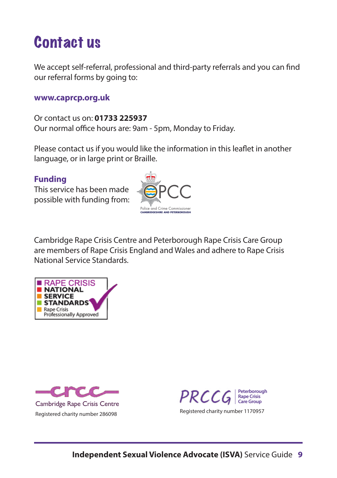### Contact us

We accept self-referral, professional and third-party referrals and you can find our referral forms by going to:

#### **www.caprcp.org.uk**

Or contact us on: **01733 225937** Our normal office hours are: 9am - 5pm, Monday to Friday.

Please contact us if you would like the information in this leaflet in another language, or in large print or Braille.

#### **Funding**

This service has been made possible with funding from:



Cambridge Rape Crisis Centre and Peterborough Rape Crisis Care Group are members of Rape Crisis England and Wales and adhere to Rape Crisis National Service Standards.